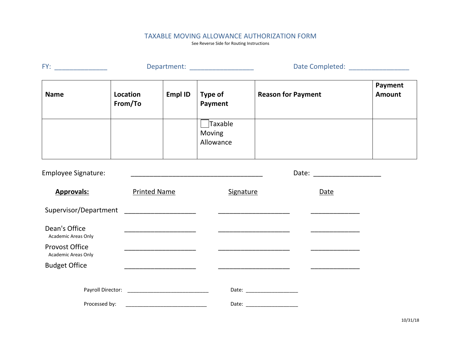## TAXABLE MOVING ALLOWANCE AUTHORIZATION FORM

See Reverse Side for Routing Instructions

| FY:                                          | Department: ____________________ |                                                |                                                                                                                        | Date Completed: __________________ |                                |                          |
|----------------------------------------------|----------------------------------|------------------------------------------------|------------------------------------------------------------------------------------------------------------------------|------------------------------------|--------------------------------|--------------------------|
| <b>Name</b>                                  | Location<br>From/To              | <b>Empl ID</b>                                 | Type of<br>Payment                                                                                                     | <b>Reason for Payment</b>          |                                | Payment<br><b>Amount</b> |
|                                              |                                  |                                                | $\Box$ Taxable<br>Moving<br>Allowance                                                                                  |                                    |                                |                          |
| <b>Employee Signature:</b>                   |                                  |                                                | <u> 1989 - Johann John Stone, mars et al. 1989 - John Stone, mars et al. 1989 - John Stone, mars et al. 1989 - Joh</u> |                                    | Date: ________________________ |                          |
| <b>Approvals:</b>                            |                                  | <b>Printed Name</b>                            | Signature                                                                                                              |                                    | Date                           |                          |
| Supervisor/Department _____________________  |                                  |                                                |                                                                                                                        |                                    |                                |                          |
| Dean's Office<br>Academic Areas Only         |                                  |                                                |                                                                                                                        |                                    |                                |                          |
| <b>Provost Office</b><br>Academic Areas Only |                                  | <u> 1980 - Jan Barbara Barbara, manazarta </u> |                                                                                                                        |                                    |                                |                          |
| <b>Budget Office</b>                         |                                  |                                                |                                                                                                                        |                                    |                                |                          |
|                                              |                                  |                                                |                                                                                                                        |                                    |                                |                          |
|                                              |                                  |                                                |                                                                                                                        |                                    |                                |                          |